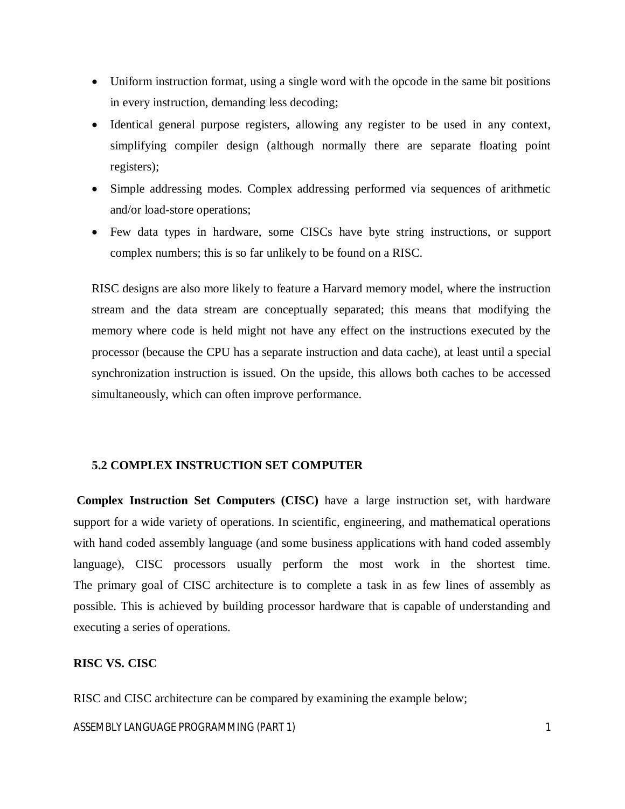- Uniform instruction format, using a single word with the opcode in the same bit positions in every instruction, demanding less decoding;
- Identical general purpose registers, allowing any register to be used in any context, simplifying compiler design (although normally there are separate floating point registers);
- Simple addressing modes. Complex addressing performed via sequences of arithmetic and/or load-store operations;
- Few data types in hardware, some CISCs have byte string instructions, or support complex numbers; this is so far unlikely to be found on a RISC.

RISC designs are also more likely to feature a Harvard memory model, where the instruction stream and the data stream are conceptually separated; this means that modifying the memory where code is held might not have any effect on the instructions executed by the processor (because the CPU has a separate instruction and data cache), at least until a special synchronization instruction is issued. On the upside, this allows both caches to be accessed simultaneously, which can often improve performance.

#### **5.2 COMPLEX INSTRUCTION SET COMPUTER**

**Complex Instruction Set Computers (CISC)** have a large instruction set, with hardware support for a wide variety of operations. In scientific, engineering, and mathematical operations with hand coded assembly language (and some business applications with hand coded assembly language), CISC processors usually perform the most work in the shortest time. The primary goal of CISC architecture is to complete a task in as few lines of assembly as possible. This is achieved by building processor hardware that is capable of understanding and executing a series of operations.

# **RISC VS. CISC**

RISC and CISC architecture can be compared by examining the example below;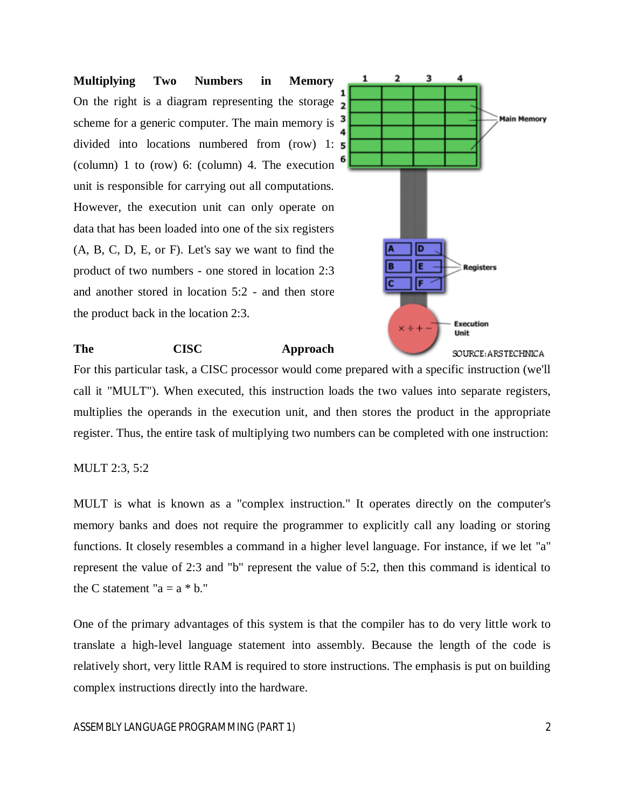**Multiplying Two Numbers in Memory** On the right is a diagram representing the storage  $\overline{2}$ scheme for a generic computer. The main memory is divided into locations numbered from (row) 1: (column) 1 to (row) 6: (column) 4. The execution unit is responsible for carrying out all computations. However, the execution unit can only operate on data that has been loaded into one of the six registers (A, B, C, D, E, or F). Let's say we want to find the product of two numbers - one stored in location 2:3 and another stored in location 5:2 - and then store the product back in the location 2:3.



#### **The CISC Approach**

For this particular task, a CISC processor would come prepared with a specific instruction (we'll call it "MULT"). When executed, this instruction loads the two values into separate registers, multiplies the operands in the execution unit, and then stores the product in the appropriate register. Thus, the entire task of multiplying two numbers can be completed with one instruction:

#### MULT 2:3, 5:2

MULT is what is known as a "complex instruction." It operates directly on the computer's memory banks and does not require the programmer to explicitly call any loading or storing functions. It closely resembles a command in a higher level language. For instance, if we let "a" represent the value of 2:3 and "b" represent the value of 5:2, then this command is identical to the C statement " $a = a * b$ ."

One of the primary advantages of this system is that the compiler has to do very little work to translate a high-level language statement into assembly. Because the length of the code is relatively short, very little RAM is required to store instructions. The emphasis is put on building complex instructions directly into the hardware.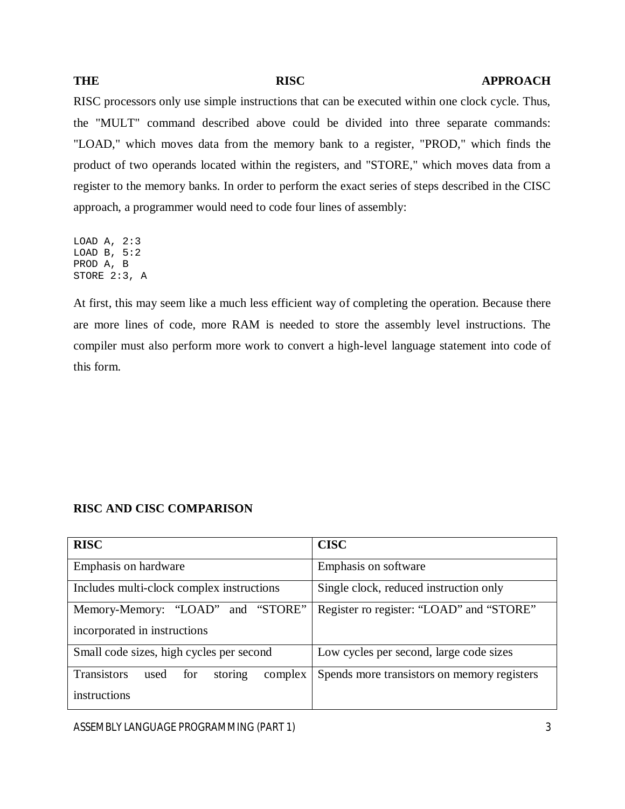#### THE RISC **RISC APPROACH**

RISC processors only use simple instructions that can be executed within one clock cycle. Thus, the "MULT" command described above could be divided into three separate commands: "LOAD," which moves data from the memory bank to a register, "PROD," which finds the product of two operands located within the registers, and "STORE," which moves data from a register to the memory banks. In order to perform the exact series of steps described in the CISC approach, a programmer would need to code four lines of assembly:

LOAD A, 2:3 LOAD B, 5:2 PROD A, B STORE 2:3, A

At first, this may seem like a much less efficient way of completing the operation. Because there are more lines of code, more RAM is needed to store the assembly level instructions. The compiler must also perform more work to convert a high-level language statement into code of this form.

#### **RISC AND CISC COMPARISON**

| <b>RISC</b>                                             | <b>CISC</b>                                 |  |
|---------------------------------------------------------|---------------------------------------------|--|
| Emphasis on hardware                                    | Emphasis on software                        |  |
| Includes multi-clock complex instructions               | Single clock, reduced instruction only      |  |
| and "STORE"<br>Memory-Memory: "LOAD"                    | Register ro register: "LOAD" and "STORE"    |  |
| incorporated in instructions                            |                                             |  |
| Small code sizes, high cycles per second                | Low cycles per second, large code sizes     |  |
| <b>Transistors</b><br>storing<br>complex<br>used<br>for | Spends more transistors on memory registers |  |
| instructions                                            |                                             |  |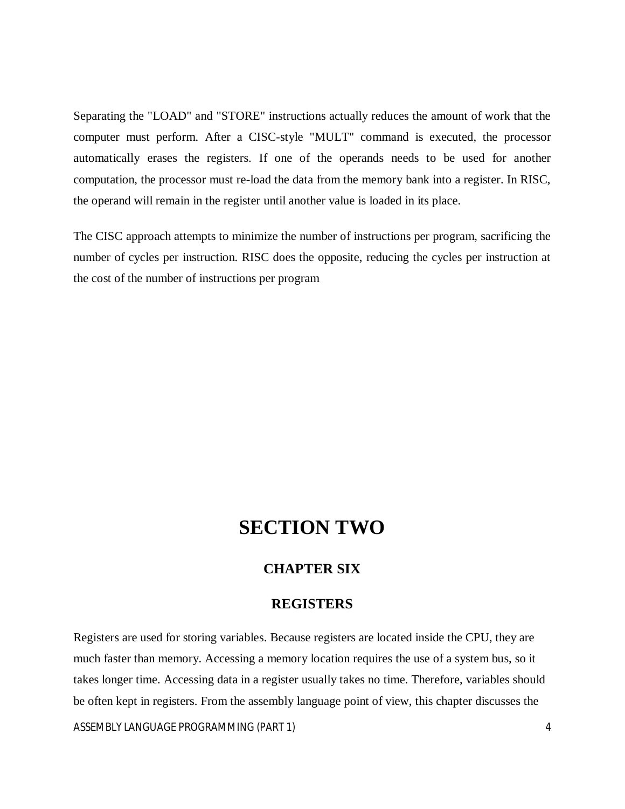Separating the "LOAD" and "STORE" instructions actually reduces the amount of work that the computer must perform. After a CISC-style "MULT" command is executed, the processor automatically erases the registers. If one of the operands needs to be used for another computation, the processor must re-load the data from the memory bank into a register. In RISC, the operand will remain in the register until another value is loaded in its place.

The CISC approach attempts to minimize the number of instructions per program, sacrificing the number of cycles per instruction. RISC does the opposite, reducing the cycles per instruction at the cost of the number of instructions per program

# **SECTION TWO**

# **CHAPTER SIX**

# **REGISTERS**

Registers are used for storing variables. Because registers are located inside the CPU, they are much faster than memory. Accessing a memory location requires the use of a system bus, so it takes longer time. Accessing data in a register usually takes no time. Therefore, variables should be often kept in registers. From the assembly language point of view, this chapter discusses the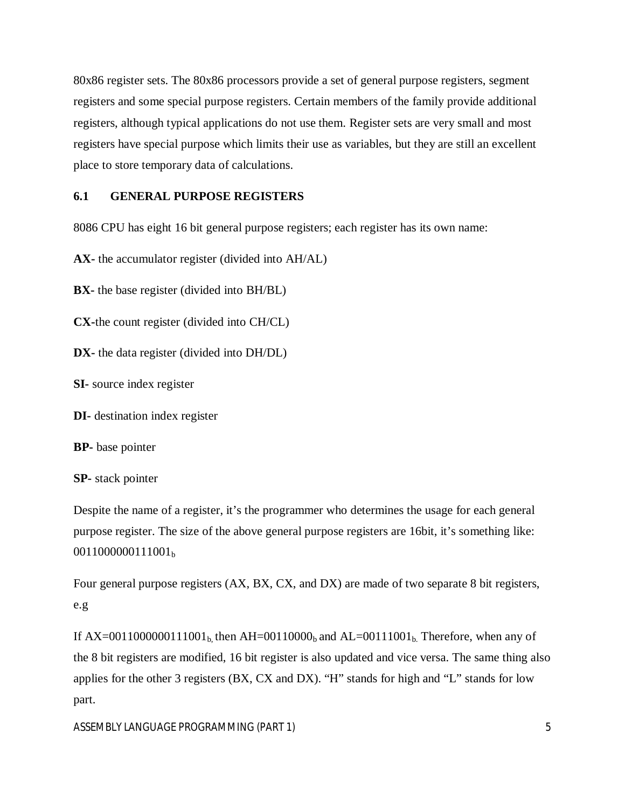80x86 register sets. The 80x86 processors provide a set of general purpose registers, segment registers and some special purpose registers. Certain members of the family provide additional registers, although typical applications do not use them. Register sets are very small and most registers have special purpose which limits their use as variables, but they are still an excellent place to store temporary data of calculations.

# **6.1 GENERAL PURPOSE REGISTERS**

8086 CPU has eight 16 bit general purpose registers; each register has its own name:

**AX-** the accumulator register (divided into AH/AL)

**BX-** the base register (divided into BH/BL)

**CX-**the count register (divided into CH/CL)

**DX-** the data register (divided into DH/DL)

**SI-** source index register

**DI-** destination index register

**BP-** base pointer

**SP-** stack pointer

Despite the name of a register, it's the programmer who determines the usage for each general purpose register. The size of the above general purpose registers are 16bit, it's something like: 0011000000111001<sub>b</sub>

Four general purpose registers (AX, BX, CX, and DX) are made of two separate 8 bit registers, e.g

If AX=0011000000111001<sub>b</sub>, then AH=00110000<sub>b</sub> and AL=00111001<sub>b</sub>. Therefore, when any of the 8 bit registers are modified, 16 bit register is also updated and vice versa. The same thing also applies for the other 3 registers (BX, CX and DX). "H" stands for high and "L" stands for low part.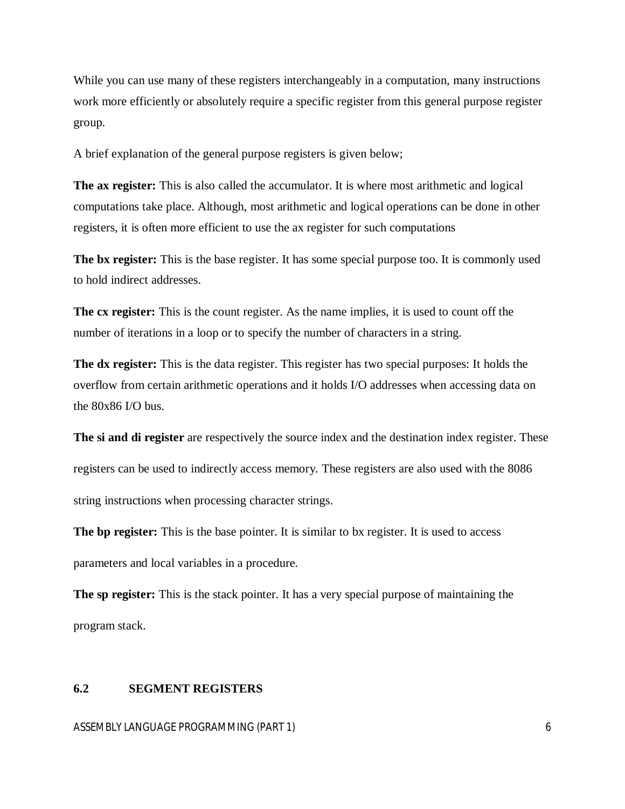While you can use many of these registers interchangeably in a computation, many instructions work more efficiently or absolutely require a specific register from this general purpose register group.

A brief explanation of the general purpose registers is given below;

**The ax register:** This is also called the accumulator. It is where most arithmetic and logical computations take place. Although, most arithmetic and logical operations can be done in other registers, it is often more efficient to use the ax register for such computations

**The bx register:** This is the base register. It has some special purpose too. It is commonly used to hold indirect addresses.

**The cx register:** This is the count register. As the name implies, it is used to count off the number of iterations in a loop or to specify the number of characters in a string.

**The dx register:** This is the data register. This register has two special purposes: It holds the overflow from certain arithmetic operations and it holds I/O addresses when accessing data on the 80x86 I/O bus.

The si and di register are respectively the source index and the destination index register. These registers can be used to indirectly access memory. These registers are also used with the 8086 string instructions when processing character strings.

**The bp register:** This is the base pointer. It is similar to bx register. It is used to access parameters and local variables in a procedure.

**The sp register:** This is the stack pointer. It has a very special purpose of maintaining the program stack.

#### **6.2 SEGMENT REGISTERS**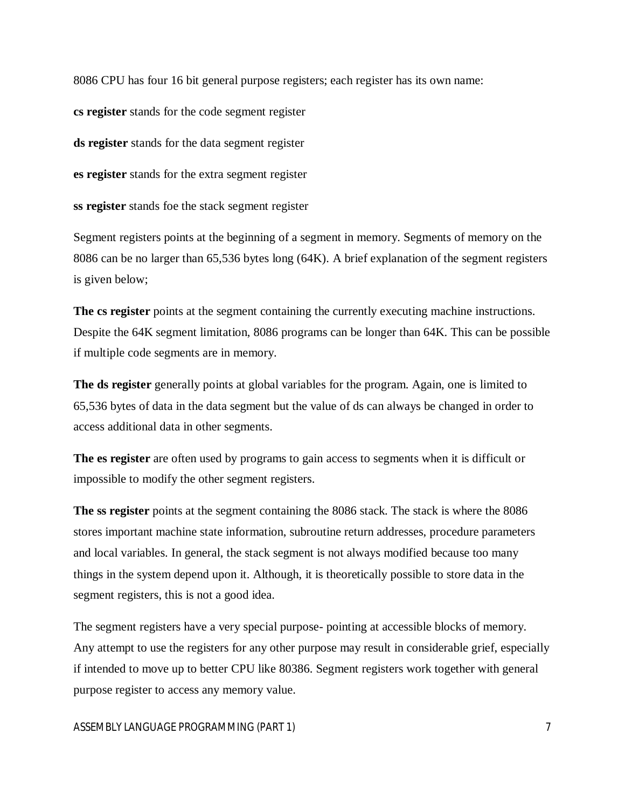8086 CPU has four 16 bit general purpose registers; each register has its own name:

**cs register** stands for the code segment register

**ds register** stands for the data segment register

**es register** stands for the extra segment register

**ss register** stands foe the stack segment register

Segment registers points at the beginning of a segment in memory. Segments of memory on the 8086 can be no larger than 65,536 bytes long (64K). A brief explanation of the segment registers is given below;

The cs register points at the segment containing the currently executing machine instructions. Despite the 64K segment limitation, 8086 programs can be longer than 64K. This can be possible if multiple code segments are in memory.

**The ds register** generally points at global variables for the program. Again, one is limited to 65,536 bytes of data in the data segment but the value of ds can always be changed in order to access additional data in other segments.

**The es register** are often used by programs to gain access to segments when it is difficult or impossible to modify the other segment registers.

**The ss register** points at the segment containing the 8086 stack. The stack is where the 8086 stores important machine state information, subroutine return addresses, procedure parameters and local variables. In general, the stack segment is not always modified because too many things in the system depend upon it. Although, it is theoretically possible to store data in the segment registers, this is not a good idea.

The segment registers have a very special purpose- pointing at accessible blocks of memory. Any attempt to use the registers for any other purpose may result in considerable grief, especially if intended to move up to better CPU like 80386. Segment registers work together with general purpose register to access any memory value.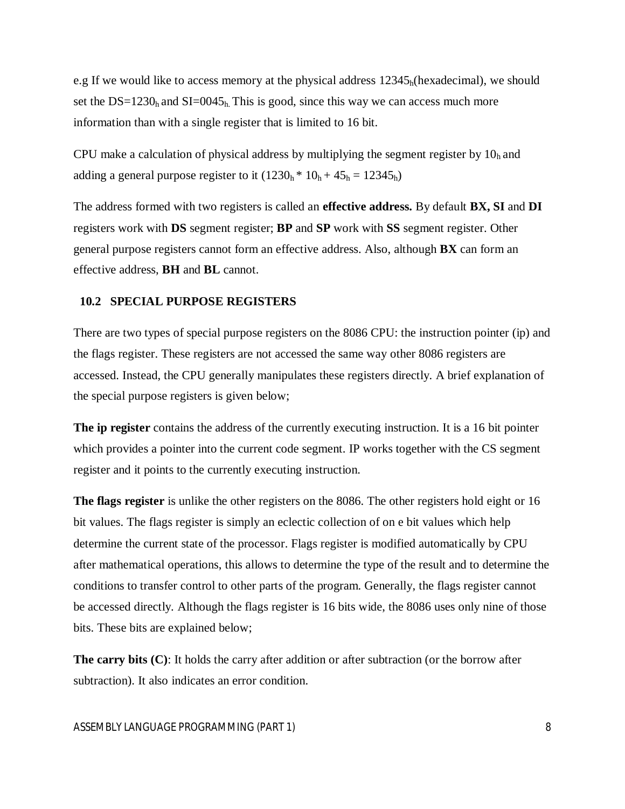e.g If we would like to access memory at the physical address  $12345<sub>h</sub>$  (hexadecimal), we should set the  $DS=1230<sub>h</sub>$  and  $SI=0045<sub>h</sub>$ . This is good, since this way we can access much more information than with a single register that is limited to 16 bit.

CPU make a calculation of physical address by multiplying the segment register by  $10<sub>h</sub>$  and adding a general purpose register to it  $(1230<sub>h</sub> * 10<sub>h</sub> + 45<sub>h</sub> = 12345<sub>h</sub>)$ 

The address formed with two registers is called an **effective address.** By default **BX, SI** and **DI**  registers work with **DS** segment register; **BP** and **SP** work with **SS** segment register. Other general purpose registers cannot form an effective address. Also, although **BX** can form an effective address, **BH** and **BL** cannot.

#### **10.2 SPECIAL PURPOSE REGISTERS**

There are two types of special purpose registers on the 8086 CPU: the instruction pointer (ip) and the flags register. These registers are not accessed the same way other 8086 registers are accessed. Instead, the CPU generally manipulates these registers directly. A brief explanation of the special purpose registers is given below;

**The ip register** contains the address of the currently executing instruction. It is a 16 bit pointer which provides a pointer into the current code segment. IP works together with the CS segment register and it points to the currently executing instruction.

**The flags register** is unlike the other registers on the 8086. The other registers hold eight or 16 bit values. The flags register is simply an eclectic collection of on e bit values which help determine the current state of the processor. Flags register is modified automatically by CPU after mathematical operations, this allows to determine the type of the result and to determine the conditions to transfer control to other parts of the program. Generally, the flags register cannot be accessed directly. Although the flags register is 16 bits wide, the 8086 uses only nine of those bits. These bits are explained below;

**The carry bits (C)**: It holds the carry after addition or after subtraction (or the borrow after subtraction). It also indicates an error condition.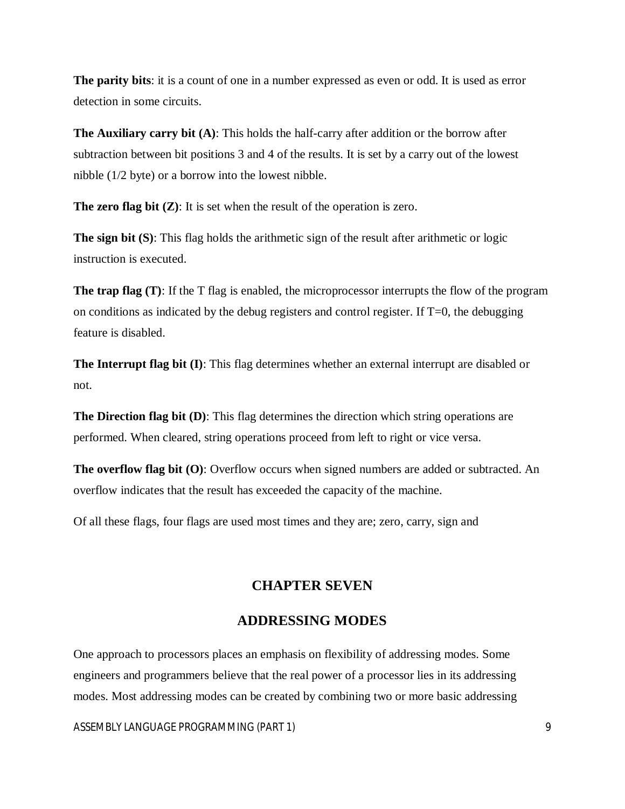**The parity bits**: it is a count of one in a number expressed as even or odd. It is used as error detection in some circuits.

**The Auxiliary carry bit (A)**: This holds the half-carry after addition or the borrow after subtraction between bit positions 3 and 4 of the results. It is set by a carry out of the lowest nibble (1/2 byte) or a borrow into the lowest nibble.

**The zero flag bit (Z)**: It is set when the result of the operation is zero.

**The sign bit (S)**: This flag holds the arithmetic sign of the result after arithmetic or logic instruction is executed.

**The trap flag (T)**: If the T flag is enabled, the microprocessor interrupts the flow of the program on conditions as indicated by the debug registers and control register. If  $T=0$ , the debugging feature is disabled.

**The Interrupt flag bit (I)**: This flag determines whether an external interrupt are disabled or not.

**The Direction flag bit (D)**: This flag determines the direction which string operations are performed. When cleared, string operations proceed from left to right or vice versa.

**The overflow flag bit (O)**: Overflow occurs when signed numbers are added or subtracted. An overflow indicates that the result has exceeded the capacity of the machine.

Of all these flags, four flags are used most times and they are; zero, carry, sign and

# **CHAPTER SEVEN**

# **ADDRESSING MODES**

One approach to processors places an emphasis on flexibility of addressing modes. Some engineers and programmers believe that the real power of a processor lies in its addressing modes. Most addressing modes can be created by combining two or more basic addressing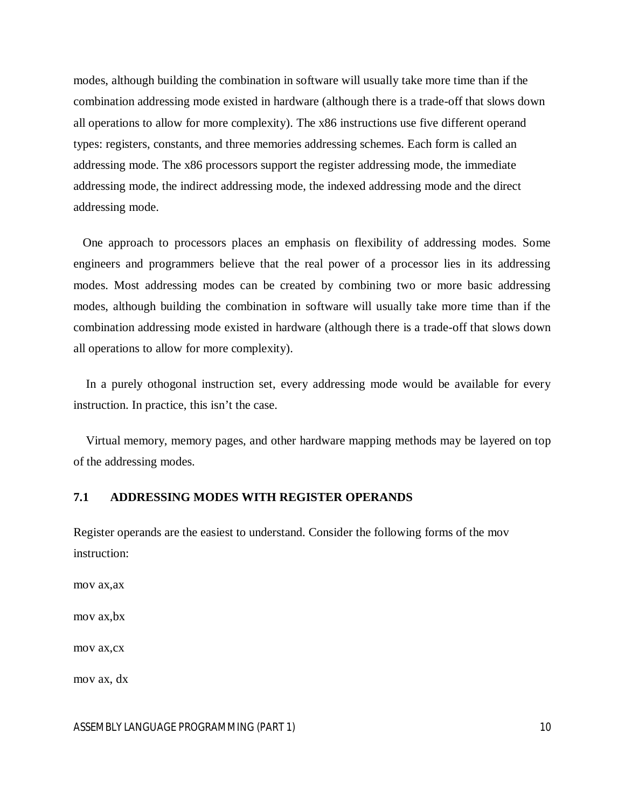modes, although building the combination in software will usually take more time than if the combination addressing mode existed in hardware (although there is a trade-off that slows down all operations to allow for more complexity). The x86 instructions use five different operand types: registers, constants, and three memories addressing schemes. Each form is called an addressing mode. The x86 processors support the register addressing mode, the immediate addressing mode, the indirect addressing mode, the indexed addressing mode and the direct addressing mode.

 One approach to processors places an emphasis on flexibility of addressing modes. Some engineers and programmers believe that the real power of a processor lies in its addressing modes. Most addressing modes can be created by combining two or more basic addressing modes, although building the combination in software will usually take more time than if the combination addressing mode existed in hardware (although there is a trade-off that slows down all operations to allow for more complexity).

 In a purely othogonal instruction set, every addressing mode would be available for every instruction. In practice, this isn't the case.

 Virtual memory, memory pages, and other hardware mapping methods may be layered on top of the addressing modes.

#### **7.1 ADDRESSING MODES WITH REGISTER OPERANDS**

Register operands are the easiest to understand. Consider the following forms of the mov instruction:

mov ax,ax

mov ax,bx

mov ax,cx

mov ax, dx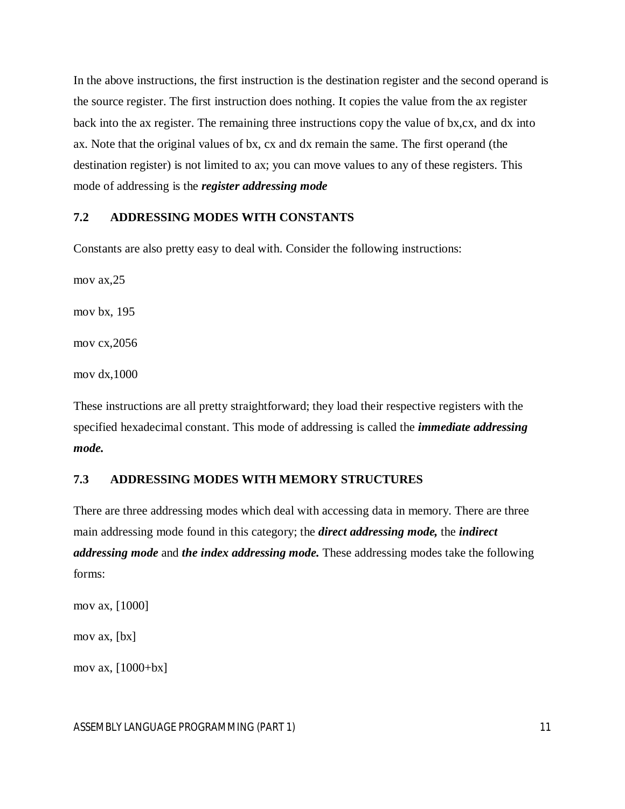In the above instructions, the first instruction is the destination register and the second operand is the source register. The first instruction does nothing. It copies the value from the ax register back into the ax register. The remaining three instructions copy the value of bx,cx, and dx into ax. Note that the original values of bx, cx and dx remain the same. The first operand (the destination register) is not limited to ax; you can move values to any of these registers. This mode of addressing is the *register addressing mode*

## **7.2 ADDRESSING MODES WITH CONSTANTS**

Constants are also pretty easy to deal with. Consider the following instructions:

mov ax,25

mov bx, 195

mov cx,2056

mov dx,1000

These instructions are all pretty straightforward; they load their respective registers with the specified hexadecimal constant. This mode of addressing is called the *immediate addressing mode.*

# **7.3 ADDRESSING MODES WITH MEMORY STRUCTURES**

There are three addressing modes which deal with accessing data in memory. There are three main addressing mode found in this category; the *direct addressing mode,* the *indirect addressing mode* and *the index addressing mode.* These addressing modes take the following forms:

```
mov ax, [1000]
```
mov ax, [bx]

mov ax, [1000+bx]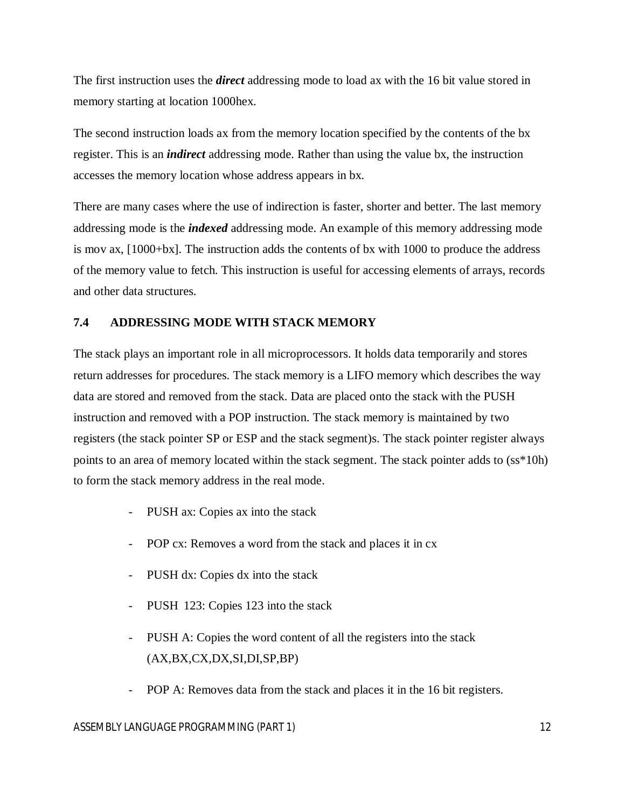The first instruction uses the *direct* addressing mode to load ax with the 16 bit value stored in memory starting at location 1000hex.

The second instruction loads ax from the memory location specified by the contents of the bx register. This is an *indirect* addressing mode. Rather than using the value bx, the instruction accesses the memory location whose address appears in bx.

There are many cases where the use of indirection is faster, shorter and better. The last memory addressing mode is the *indexed* addressing mode. An example of this memory addressing mode is mov ax, [1000+bx]. The instruction adds the contents of bx with 1000 to produce the address of the memory value to fetch. This instruction is useful for accessing elements of arrays, records and other data structures.

# **7.4 ADDRESSING MODE WITH STACK MEMORY**

The stack plays an important role in all microprocessors. It holds data temporarily and stores return addresses for procedures. The stack memory is a LIFO memory which describes the way data are stored and removed from the stack. Data are placed onto the stack with the PUSH instruction and removed with a POP instruction. The stack memory is maintained by two registers (the stack pointer SP or ESP and the stack segment)s. The stack pointer register always points to an area of memory located within the stack segment. The stack pointer adds to (ss\*10h) to form the stack memory address in the real mode.

- PUSH ax: Copies ax into the stack
- POP cx: Removes a word from the stack and places it in cx
- PUSH dx: Copies dx into the stack
- PUSH 123: Copies 123 into the stack
- PUSH A: Copies the word content of all the registers into the stack (AX,BX,CX,DX,SI,DI,SP,BP)
- POP A: Removes data from the stack and places it in the 16 bit registers.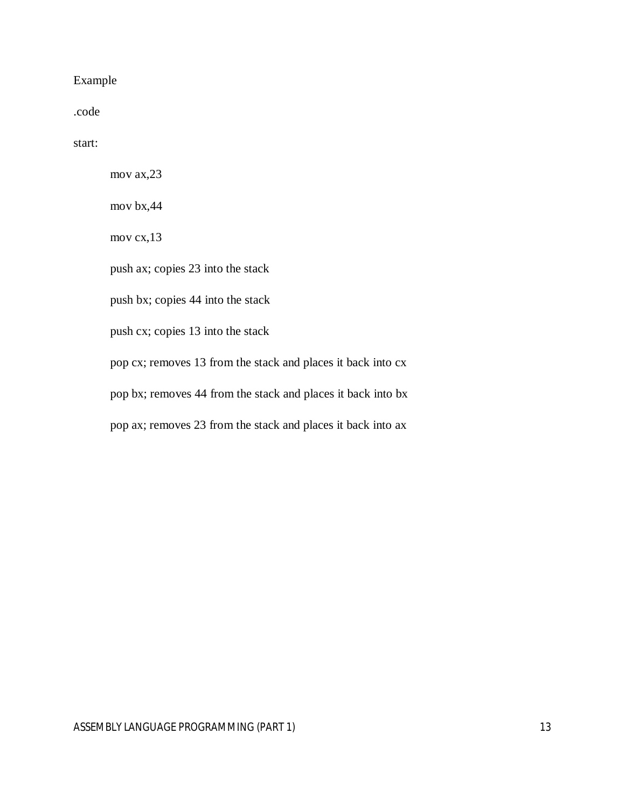# Example

.code

start:

mov ax,23

mov bx,44

mov cx,13

push ax; copies 23 into the stack

push bx; copies 44 into the stack

push cx; copies 13 into the stack

pop cx; removes 13 from the stack and places it back into cx

pop bx; removes 44 from the stack and places it back into bx

pop ax; removes 23 from the stack and places it back into ax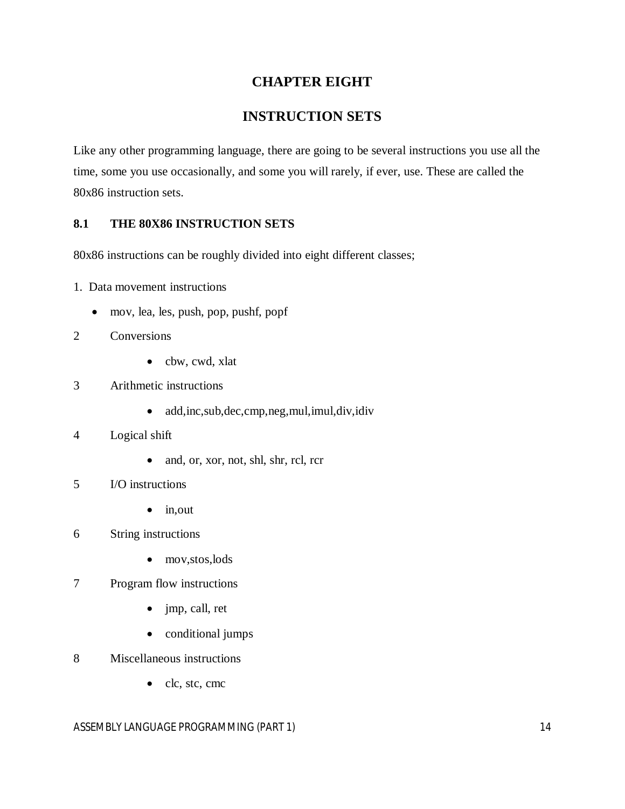# **CHAPTER EIGHT**

# **INSTRUCTION SETS**

Like any other programming language, there are going to be several instructions you use all the time, some you use occasionally, and some you will rarely, if ever, use. These are called the 80x86 instruction sets.

# **8.1 THE 80X86 INSTRUCTION SETS**

80x86 instructions can be roughly divided into eight different classes;

- 1. Data movement instructions
	- mov, lea, les, push, pop, pushf, popf
- 2 Conversions
	- cbw, cwd, xlat
- 3 Arithmetic instructions
	- add,inc,sub,dec,cmp,neg,mul,imul,div,idiv
- 4 Logical shift
	- and, or, xor, not, shl, shr, rcl, rcr
- 5 I/O instructions
	- $\bullet$  in, out
- 6 String instructions
	- mov, stos, lods
- 7 Program flow instructions
	- jmp, call, ret
	- conditional jumps
- 8 Miscellaneous instructions
	- clc, stc, cmc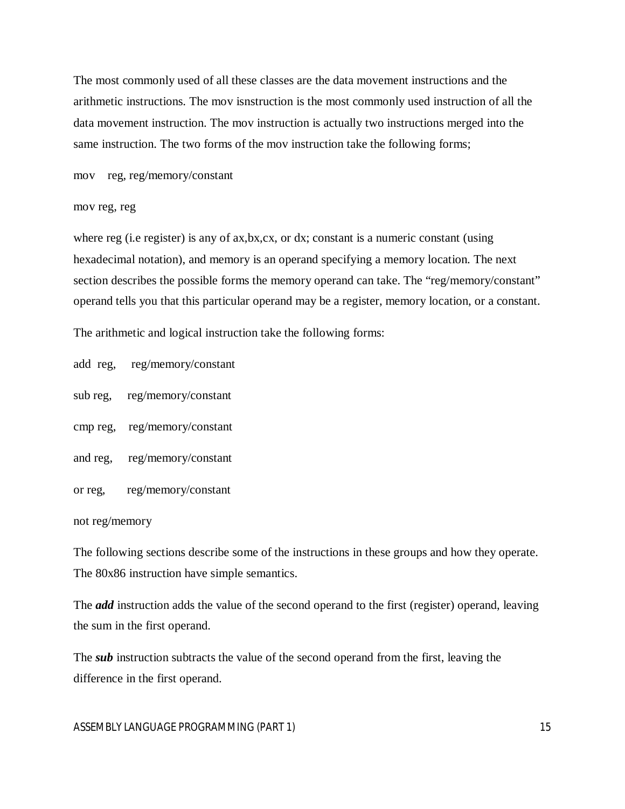The most commonly used of all these classes are the data movement instructions and the arithmetic instructions. The mov isnstruction is the most commonly used instruction of all the data movement instruction. The mov instruction is actually two instructions merged into the same instruction. The two forms of the mov instruction take the following forms;

mov reg, reg/memory/constant

mov reg, reg

where reg (i.e register) is any of ax,bx,cx, or dx; constant is a numeric constant (using hexadecimal notation), and memory is an operand specifying a memory location. The next section describes the possible forms the memory operand can take. The "reg/memory/constant" operand tells you that this particular operand may be a register, memory location, or a constant.

The arithmetic and logical instruction take the following forms:

add reg, reg/memory/constant

sub reg, reg/memory/constant

cmp reg, reg/memory/constant

and reg, reg/memory/constant

or reg, reg/memory/constant

not reg/memory

The following sections describe some of the instructions in these groups and how they operate. The 80x86 instruction have simple semantics.

The *add* instruction adds the value of the second operand to the first (register) operand, leaving the sum in the first operand.

The *sub* instruction subtracts the value of the second operand from the first, leaving the difference in the first operand.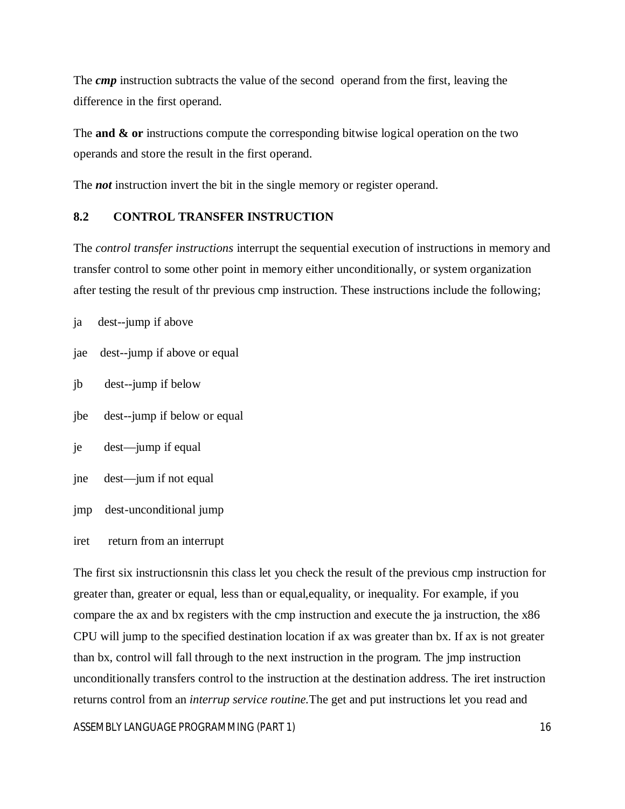The *cmp* instruction subtracts the value of the second operand from the first, leaving the difference in the first operand.

The **and & or** instructions compute the corresponding bitwise logical operation on the two operands and store the result in the first operand.

The *not* instruction invert the bit in the single memory or register operand.

# **8.2 CONTROL TRANSFER INSTRUCTION**

The *control transfer instructions* interrupt the sequential execution of instructions in memory and transfer control to some other point in memory either unconditionally, or system organization after testing the result of thr previous cmp instruction. These instructions include the following;

ja dest--jump if above

- jae dest--jump if above or equal
- jb dest--jump if below
- jbe dest--jump if below or equal
- je dest—jump if equal
- jne dest—jum if not equal
- jmp dest-unconditional jump
- iret return from an interrupt

The first six instructionsnin this class let you check the result of the previous cmp instruction for greater than, greater or equal, less than or equal,equality, or inequality. For example, if you compare the ax and bx registers with the cmp instruction and execute the ja instruction, the x86 CPU will jump to the specified destination location if ax was greater than bx. If ax is not greater than bx, control will fall through to the next instruction in the program. The jmp instruction unconditionally transfers control to the instruction at the destination address. The iret instruction returns control from an *interrup service routine.*The get and put instructions let you read and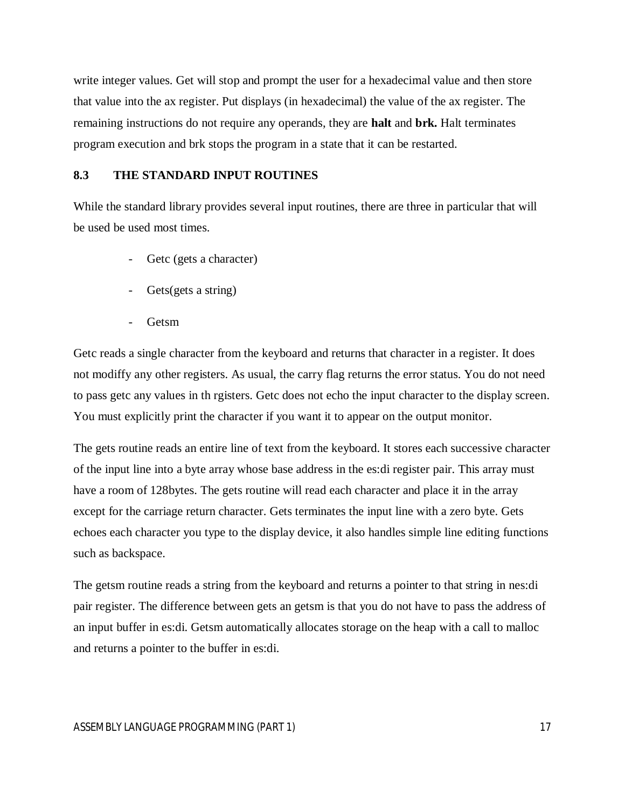write integer values. Get will stop and prompt the user for a hexadecimal value and then store that value into the ax register. Put displays (in hexadecimal) the value of the ax register. The remaining instructions do not require any operands, they are **halt** and **brk.** Halt terminates program execution and brk stops the program in a state that it can be restarted.

# **8.3 THE STANDARD INPUT ROUTINES**

While the standard library provides several input routines, there are three in particular that will be used be used most times.

- Getc (gets a character)
- Gets(gets a string)
- Getsm

Getc reads a single character from the keyboard and returns that character in a register. It does not modiffy any other registers. As usual, the carry flag returns the error status. You do not need to pass getc any values in th rgisters. Getc does not echo the input character to the display screen. You must explicitly print the character if you want it to appear on the output monitor.

The gets routine reads an entire line of text from the keyboard. It stores each successive character of the input line into a byte array whose base address in the es:di register pair. This array must have a room of 128bytes. The gets routine will read each character and place it in the array except for the carriage return character. Gets terminates the input line with a zero byte. Gets echoes each character you type to the display device, it also handles simple line editing functions such as backspace.

The getsm routine reads a string from the keyboard and returns a pointer to that string in nes:di pair register. The difference between gets an getsm is that you do not have to pass the address of an input buffer in es:di. Getsm automatically allocates storage on the heap with a call to malloc and returns a pointer to the buffer in es:di.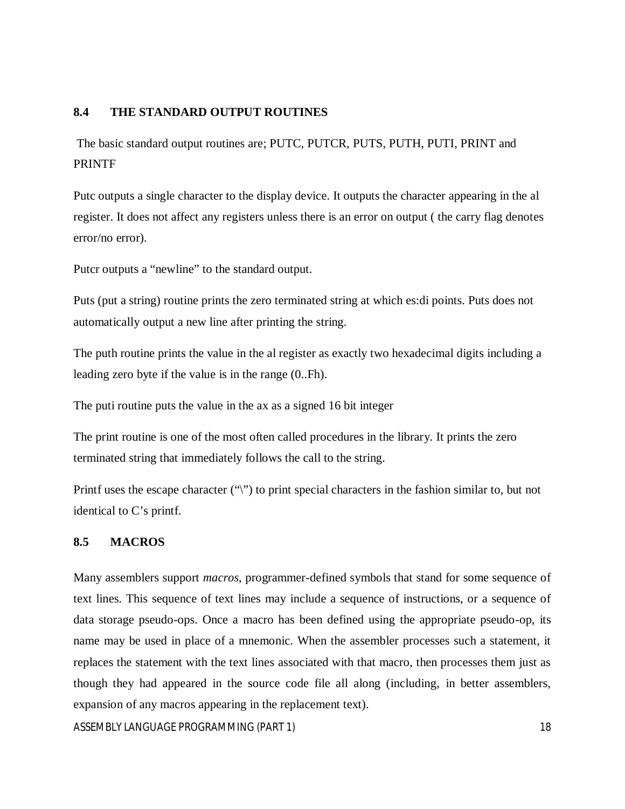# **8.4 THE STANDARD OUTPUT ROUTINES**

The basic standard output routines are; PUTC, PUTCR, PUTS, PUTH, PUTI, PRINT and PRINTF

Putc outputs a single character to the display device. It outputs the character appearing in the al register. It does not affect any registers unless there is an error on output ( the carry flag denotes error/no error).

Putcr outputs a "newline" to the standard output.

Puts (put a string) routine prints the zero terminated string at which es:di points. Puts does not automatically output a new line after printing the string.

The puth routine prints the value in the al register as exactly two hexadecimal digits including a leading zero byte if the value is in the range (0..Fh).

The puti routine puts the value in the ax as a signed 16 bit integer

The print routine is one of the most often called procedures in the library. It prints the zero terminated string that immediately follows the call to the string.

Printf uses the escape character ("\") to print special characters in the fashion similar to, but not identical to C's printf.

# **8.5 MACROS**

Many assemblers support *macros*, programmer-defined symbols that stand for some sequence of text lines. This sequence of text lines may include a sequence of instructions, or a sequence of data storage pseudo-ops. Once a macro has been defined using the appropriate pseudo-op, its name may be used in place of a mnemonic. When the assembler processes such a statement, it replaces the statement with the text lines associated with that macro, then processes them just as though they had appeared in the source code file all along (including, in better assemblers, expansion of any macros appearing in the replacement text).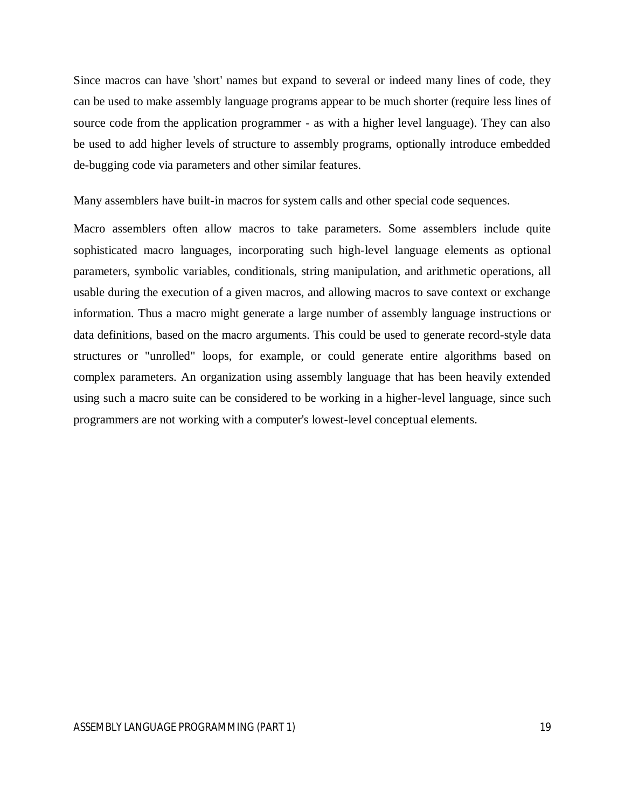Since macros can have 'short' names but expand to several or indeed many lines of code, they can be used to make assembly language programs appear to be much shorter (require less lines of source code from the application programmer - as with a higher level language). They can also be used to add higher levels of structure to assembly programs, optionally introduce embedded de-bugging code via parameters and other similar features.

Many assemblers have built-in macros for system calls and other special code sequences.

Macro assemblers often allow macros to take parameters. Some assemblers include quite sophisticated macro languages, incorporating such high-level language elements as optional parameters, symbolic variables, conditionals, string manipulation, and arithmetic operations, all usable during the execution of a given macros, and allowing macros to save context or exchange information. Thus a macro might generate a large number of assembly language instructions or data definitions, based on the macro arguments. This could be used to generate record-style data structures or "unrolled" loops, for example, or could generate entire algorithms based on complex parameters. An organization using assembly language that has been heavily extended using such a macro suite can be considered to be working in a higher-level language, since such programmers are not working with a computer's lowest-level conceptual elements.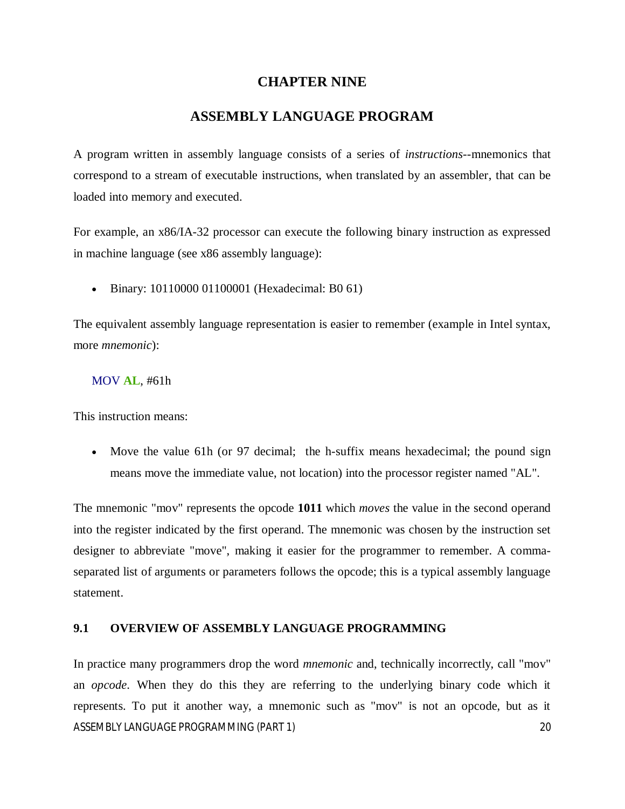# **CHAPTER NINE**

# **ASSEMBLY LANGUAGE PROGRAM**

A program written in assembly language consists of a series of *instructions*--mnemonics that correspond to a stream of executable instructions, when translated by an assembler, that can be loaded into memory and executed.

For example, an x86/IA-32 processor can execute the following binary instruction as expressed in machine language (see x86 assembly language):

Binary: 10110000 01100001 (Hexadecimal: B0 61)

The equivalent assembly language representation is easier to remember (example in Intel syntax, more *mnemonic*):

#### MOV **AL**, #61h

This instruction means:

 Move the value 61h (or 97 decimal; the h-suffix means hexadecimal; the pound sign means move the immediate value, not location) into the processor register named "AL".

The mnemonic "mov" represents the opcode **1011** which *moves* the value in the second operand into the register indicated by the first operand. The mnemonic was chosen by the instruction set designer to abbreviate "move", making it easier for the programmer to remember. A commaseparated list of arguments or parameters follows the opcode; this is a typical assembly language statement.

#### **9.1 OVERVIEW OF ASSEMBLY LANGUAGE PROGRAMMING**

ASSEMBLY LANGUAGE PROGRAMMING (PART 1) 20 In practice many programmers drop the word *mnemonic* and, technically incorrectly, call "mov" an *opcode*. When they do this they are referring to the underlying binary code which it represents. To put it another way, a mnemonic such as "mov" is not an opcode, but as it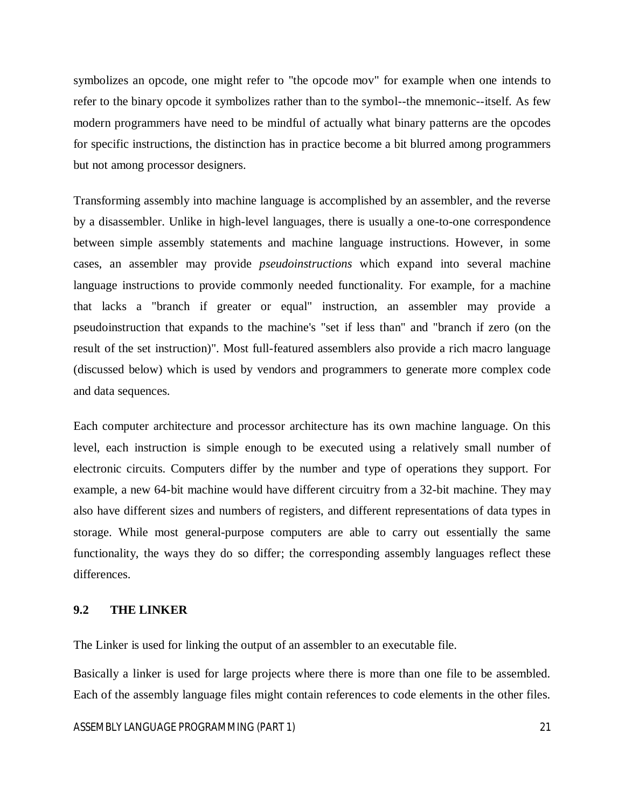symbolizes an opcode, one might refer to "the opcode mov" for example when one intends to refer to the binary opcode it symbolizes rather than to the symbol--the mnemonic--itself. As few modern programmers have need to be mindful of actually what binary patterns are the opcodes for specific instructions, the distinction has in practice become a bit blurred among programmers but not among processor designers.

Transforming assembly into machine language is accomplished by an assembler, and the reverse by a disassembler. Unlike in high-level languages, there is usually a one-to-one correspondence between simple assembly statements and machine language instructions. However, in some cases, an assembler may provide *pseudoinstructions* which expand into several machine language instructions to provide commonly needed functionality. For example, for a machine that lacks a "branch if greater or equal" instruction, an assembler may provide a pseudoinstruction that expands to the machine's "set if less than" and "branch if zero (on the result of the set instruction)". Most full-featured assemblers also provide a rich macro language (discussed below) which is used by vendors and programmers to generate more complex code and data sequences.

Each computer architecture and processor architecture has its own machine language. On this level, each instruction is simple enough to be executed using a relatively small number of electronic circuits. Computers differ by the number and type of operations they support. For example, a new 64-bit machine would have different circuitry from a 32-bit machine. They may also have different sizes and numbers of registers, and different representations of data types in storage. While most general-purpose computers are able to carry out essentially the same functionality, the ways they do so differ; the corresponding assembly languages reflect these differences.

## **9.2 THE LINKER**

The Linker is used for linking the output of an assembler to an executable file.

Basically a linker is used for large projects where there is more than one file to be assembled. Each of the assembly language files might contain references to code elements in the other files.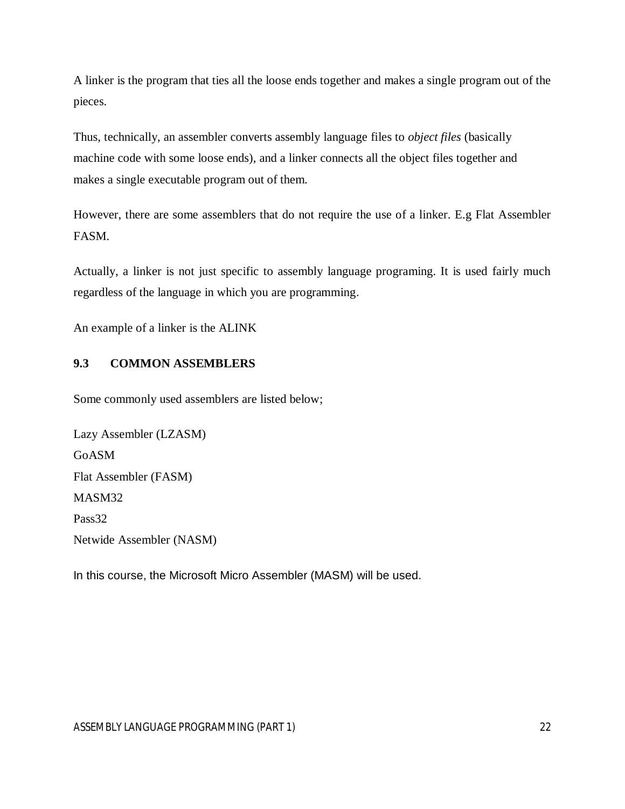A linker is the program that ties all the loose ends together and makes a single program out of the pieces.

Thus, technically, an assembler converts assembly language files to *object files* (basically machine code with some loose ends), and a linker connects all the object files together and makes a single executable program out of them.

However, there are some assemblers that do not require the use of a linker. E.g Flat Assembler FASM.

Actually, a linker is not just specific to assembly language programing. It is used fairly much regardless of the language in which you are programming.

An example of a linker is the ALINK

# **9.3 COMMON ASSEMBLERS**

Some commonly used assemblers are listed below;

Lazy Assembler (LZASM) GoASM Flat Assembler (FASM) MASM32 Pass32 Netwide Assembler (NASM)

In this course, the Microsoft Micro Assembler (MASM) will be used.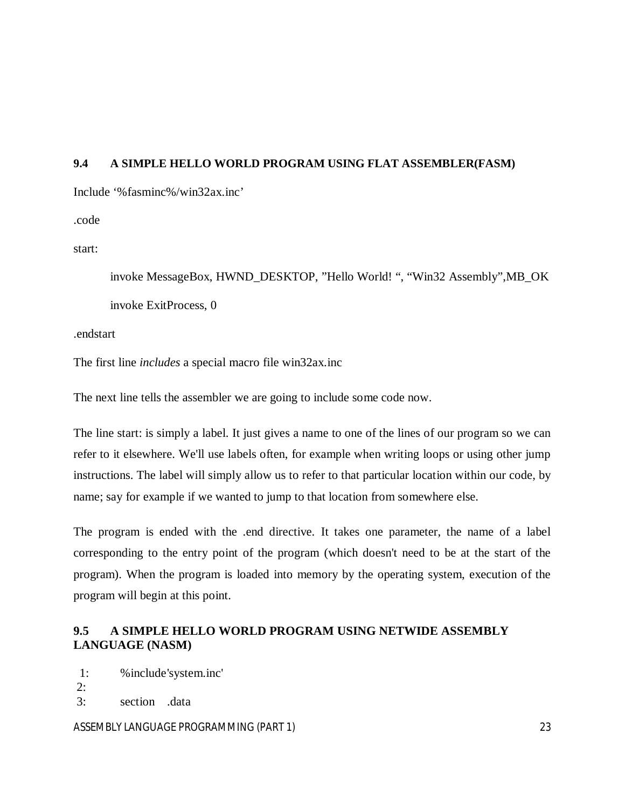# **9.4 A SIMPLE HELLO WORLD PROGRAM USING FLAT ASSEMBLER(FASM)**

Include '%fasminc%/win32ax.inc'

.code

start:

invoke MessageBox, HWND\_DESKTOP, "Hello World! ", "Win32 Assembly",MB\_OK invoke ExitProcess, 0

.endstart

The first line *includes* a special macro file win32ax.inc

The next line tells the assembler we are going to include some code now.

The line start: is simply a label. It just gives a name to one of the lines of our program so we can refer to it elsewhere. We'll use labels often, for example when writing loops or using other jump instructions. The label will simply allow us to refer to that particular location within our code, by name; say for example if we wanted to jump to that location from somewhere else.

The program is ended with the .end directive. It takes one parameter, the name of a label corresponding to the entry point of the program (which doesn't need to be at the start of the program). When the program is loaded into memory by the operating system, execution of the program will begin at this point.

# **9.5 A SIMPLE HELLO WORLD PROGRAM USING NETWIDE ASSEMBLY LANGUAGE (NASM)**

1: %include'system.inc'

2: 3: section .data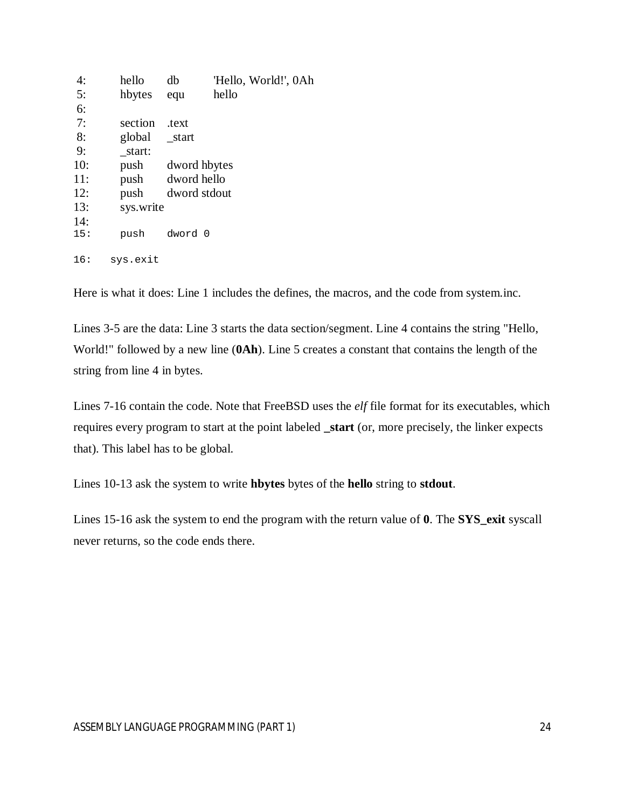| 4:  | hello     | db          | 'Hello, World!', 0Ah |
|-----|-----------|-------------|----------------------|
| 5:  | hbytes    | equ         | hello                |
| 6:  |           |             |                      |
| 7:  | section   | .text       |                      |
| 8:  | global    | start       |                      |
| 9:  | start:    |             |                      |
| 10: | push      |             | dword hbytes         |
| 11: | push      | dword hello |                      |
| 12: | push      |             | dword stdout         |
| 13: | sys.write |             |                      |
| 14: |           |             |                      |
| 15: | push      | dword 0     |                      |
| 16: | sys.exit  |             |                      |

Here is what it does: Line 1 includes the defines, the macros, and the code from system.inc.

Lines 3-5 are the data: Line 3 starts the data section/segment. Line 4 contains the string "Hello, World!" followed by a new line (**0Ah**). Line 5 creates a constant that contains the length of the string from line 4 in bytes.

Lines 7-16 contain the code. Note that FreeBSD uses the *elf* file format for its executables, which requires every program to start at the point labeled **\_start** (or, more precisely, the linker expects that). This label has to be global.

Lines 10-13 ask the system to write **hbytes** bytes of the **hello** string to **stdout**.

Lines 15-16 ask the system to end the program with the return value of **0**. The **SYS\_exit** syscall never returns, so the code ends there.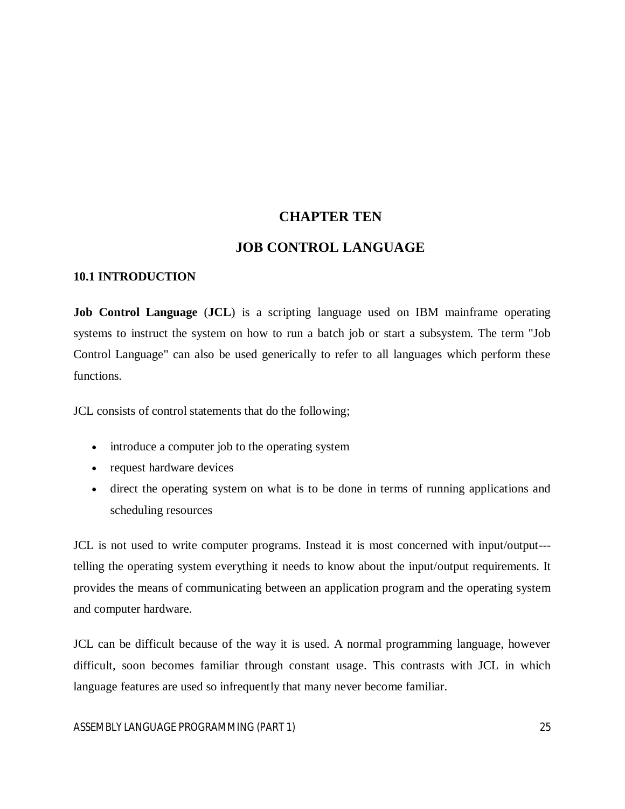# **CHAPTER TEN**

# **JOB CONTROL LANGUAGE**

## **10.1 INTRODUCTION**

**Job Control Language** (**JCL**) is a scripting language used on IBM mainframe operating systems to instruct the system on how to run a batch job or start a subsystem. The term "Job Control Language" can also be used generically to refer to all languages which perform these functions.

JCL consists of control statements that do the following;

- introduce a computer job to the operating system
- request hardware devices
- direct the operating system on what is to be done in terms of running applications and scheduling resources

JCL is not used to write computer programs. Instead it is most concerned with input/output-- telling the operating system everything it needs to know about the input/output requirements. It provides the means of communicating between an application program and the operating system and computer hardware.

JCL can be difficult because of the way it is used. A normal programming language, however difficult, soon becomes familiar through constant usage. This contrasts with JCL in which language features are used so infrequently that many never become familiar.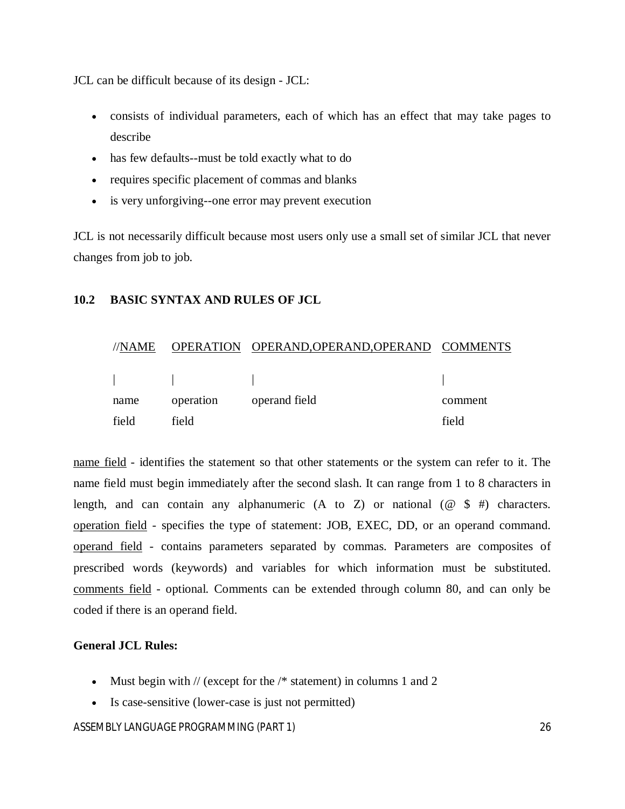JCL can be difficult because of its design - JCL:

- consists of individual parameters, each of which has an effect that may take pages to describe
- has few defaults--must be told exactly what to do
- requires specific placement of commas and blanks
- is very unforgiving--one error may prevent execution

JCL is not necessarily difficult because most users only use a small set of similar JCL that never changes from job to job.

#### **10.2 BASIC SYNTAX AND RULES OF JCL**

| //NAME  | <b>OPERATION</b> | OPERAND, OPERAND, OPERAND COMMENTS |         |
|---------|------------------|------------------------------------|---------|
|         |                  |                                    |         |
|         |                  |                                    |         |
| name    | operation        | operand field                      | comment |
| - field | tield            |                                    | field   |

name field - identifies the statement so that other statements or the system can refer to it. The name field must begin immediately after the second slash. It can range from 1 to 8 characters in length, and can contain any alphanumeric  $(A \text{ to } Z)$  or national  $(\mathcal{Q} \text{ $} \#)$  characters. operation field - specifies the type of statement: JOB, EXEC, DD, or an operand command. operand field - contains parameters separated by commas. Parameters are composites of prescribed words (keywords) and variables for which information must be substituted. comments field - optional. Comments can be extended through column 80, and can only be coded if there is an operand field.

#### **General JCL Rules:**

- Must begin with  $//$  (except for the  $/*$  statement) in columns 1 and 2
- Is case-sensitive (lower-case is just not permitted)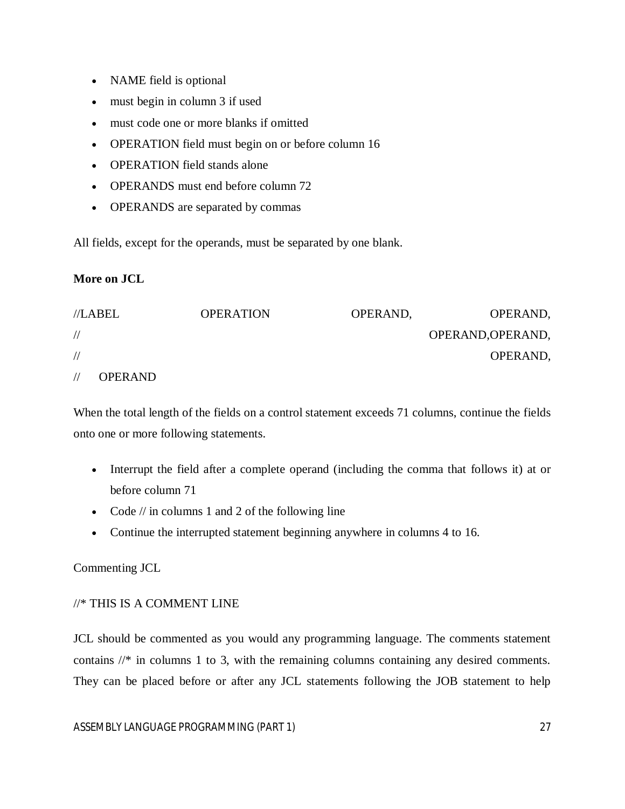- NAME field is optional
- must begin in column 3 if used
- must code one or more blanks if omitted
- OPERATION field must begin on or before column 16
- OPERATION field stands alone
- OPERANDS must end before column 72
- OPERANDS are separated by commas

All fields, except for the operands, must be separated by one blank.

# **More on JCL**

| //LABEL       |                | <b>OPERATION</b> | OPERAND, | OPERAND,          |
|---------------|----------------|------------------|----------|-------------------|
| $\frac{1}{2}$ |                |                  |          | OPERAND, OPERAND, |
| $\frac{1}{2}$ |                |                  |          | OPERAND,          |
|               | <b>OPERAND</b> |                  |          |                   |

When the total length of the fields on a control statement exceeds 71 columns, continue the fields onto one or more following statements.

- Interrupt the field after a complete operand (including the comma that follows it) at or before column 71
- Code  $//$  in columns 1 and 2 of the following line
- Continue the interrupted statement beginning anywhere in columns 4 to 16.

# Commenting JCL

# //\* THIS IS A COMMENT LINE

JCL should be commented as you would any programming language. The comments statement contains //\* in columns 1 to 3, with the remaining columns containing any desired comments. They can be placed before or after any JCL statements following the JOB statement to help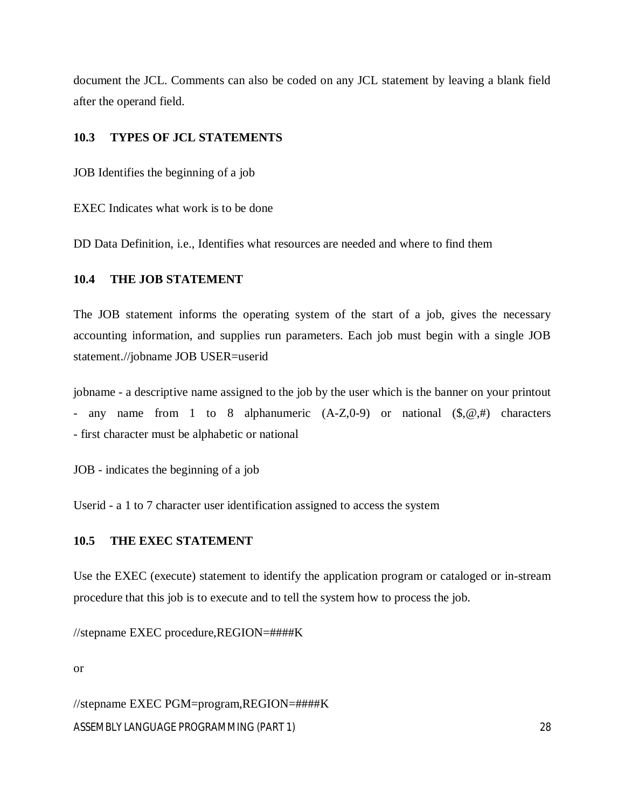document the JCL. Comments can also be coded on any JCL statement by leaving a blank field after the operand field.

## **10.3 TYPES OF JCL STATEMENTS**

JOB Identifies the beginning of a job

EXEC Indicates what work is to be done

DD Data Definition, i.e., Identifies what resources are needed and where to find them

## **10.4 THE JOB STATEMENT**

The JOB statement informs the operating system of the start of a job, gives the necessary accounting information, and supplies run parameters. Each job must begin with a single JOB statement.//jobname JOB USER=userid

jobname - a descriptive name assigned to the job by the user which is the banner on your printout - any name from 1 to 8 alphanumeric  $(A-Z,0-9)$  or national  $(\text{\$},\text{\$\emptyset$},\text{\#})$  characters - first character must be alphabetic or national

JOB - indicates the beginning of a job

Userid - a 1 to 7 character user identification assigned to access the system

# **10.5 THE EXEC STATEMENT**

Use the EXEC (execute) statement to identify the application program or cataloged or in-stream procedure that this job is to execute and to tell the system how to process the job.

//stepname EXEC procedure,REGION=####K

or

ASSEMBLY LANGUAGE PROGRAMMING (PART 1) 28 //stepname EXEC PGM=program,REGION=####K